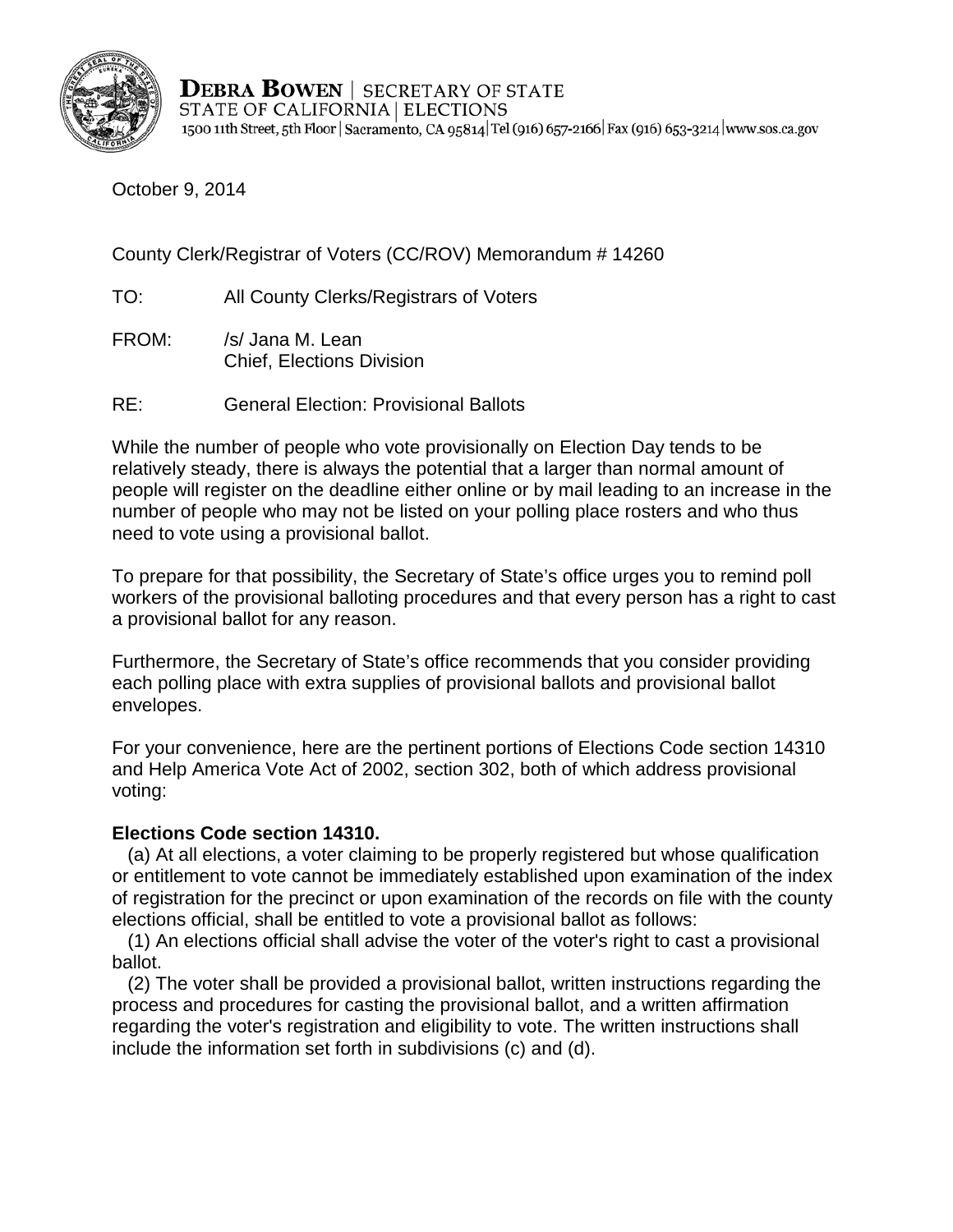

**DEBRA BOWEN** | SECRETARY OF STATE STATE OF CALIFORNIA | ELECTIONS 1500 11th Street, 5th Floor | Sacramento, CA 95814 Tel (916) 657-2166 | Fax (916) 653-3214 | www.sos.ca.gov

October 9, 2014

County Clerk/Registrar of Voters (CC/ROV) Memorandum # 14260

TO: All County Clerks/Registrars of Voters

- FROM: /s/ Jana M. Lean Chief, Elections Division
- RE: General Election: Provisional Ballots

While the number of people who vote provisionally on Election Day tends to be relatively steady, there is always the potential that a larger than normal amount of people will register on the deadline either online or by mail leading to an increase in the number of people who may not be listed on your polling place rosters and who thus need to vote using a provisional ballot.

To prepare for that possibility, the Secretary of State's office urges you to remind poll workers of the provisional balloting procedures and that every person has a right to cast a provisional ballot for any reason.

Furthermore, the Secretary of State's office recommends that you consider providing each polling place with extra supplies of provisional ballots and provisional ballot envelopes.

For your convenience, here are the pertinent portions of Elections Code section 14310 and Help America Vote Act of 2002, section 302, both of which address provisional voting:

## **Elections Code section 14310.**

 (a) At all elections, a voter claiming to be properly registered but whose qualification or entitlement to vote cannot be immediately established upon examination of the index of registration for the precinct or upon examination of the records on file with the county elections official, shall be entitled to vote a provisional ballot as follows:

 (1) An elections official shall advise the voter of the voter's right to cast a provisional ballot.

 (2) The voter shall be provided a provisional ballot, written instructions regarding the process and procedures for casting the provisional ballot, and a written affirmation regarding the voter's registration and eligibility to vote. The written instructions shall include the information set forth in subdivisions (c) and (d).